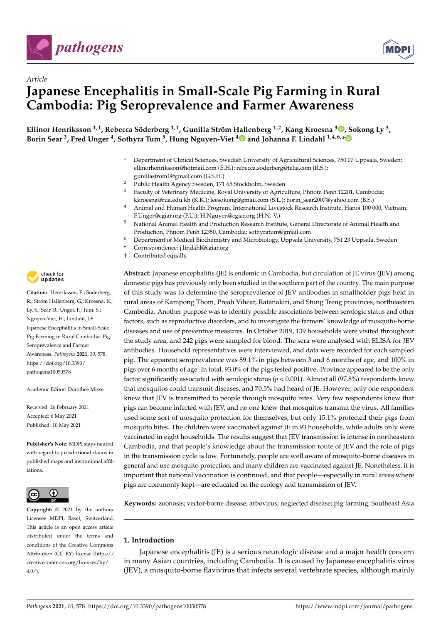

*Article*



# **Japanese Encephalitis in Small-Scale Pig Farming in Rural Cambodia: Pig Seroprevalence and Farmer Awareness**

**Ellinor Henriksson 1,†, Rebecca Söderberg 1,†, Gunilla Ström [Hall](https://orcid.org/0000-0003-1549-2733)enberg 1,2, Kang Kroesna <sup>3</sup> [,](https://orcid.org/0000-0002-6818-1982) Sokong Ly <sup>3</sup> , Borin Sear <sup>3</sup> , Fred Unger <sup>4</sup> , Sothyra Tum <sup>5</sup> , Hung Nguyen-Viet <sup>4</sup> and Johanna F. Lindahl 1,4,6,[\\*](https://orcid.org/0000-0002-1175-0398)**

- <sup>1</sup> Department of Clinical Sciences, Swedish University of Agricultural Sciences, 750 07 Uppsala, Sweden; ellinorhenriksson@hotmail.com (E.H.); rebecca.soderberg@telia.com (R.S.); gunillastrom1@gmail.com (G.S.H.)
- <sup>2</sup> Public Health Agency Sweden, 171 65 Stockholm, Sweden<br><sup>3</sup> Eaculty of Veterinary Medicine, Royal University of Agricu
- <sup>3</sup> Faculty of Veterinary Medicine, Royal University of Agriculture, Phnom Penh 12201, Cambodia; kkroesna@rua.edu.kh (K.K.); leesokong@gmail.com (S.L.); borin\_sear2007@yahoo.com (B.S.)
- <sup>4</sup> Animal and Human Health Program, International Livestock Research Institute, Hanoi 100 000, Vietnam; F.Unger@cgiar.org (F.U.); H.Nguyen@cgiar.org (H.N.-V.)
- <sup>5</sup> National Animal Health and Production Research Institute, General Directorate of Animal Health and Production, Phnom Penh 12350, Cambodia; sothyratum@gmail.com
- <sup>6</sup> Department of Medical Biochemistry and Microbiology, Uppsala University, 751 23 Uppsala, Sweden
- **\*** Correspondence: j.lindahl@cgiar.org
- † Contributed equally.

**Abstract:** Japanese encephalitis (JE) is endemic in Cambodia, but circulation of JE virus (JEV) among domestic pigs has previously only been studied in the southern part of the country. The main purpose of this study was to determine the seroprevalence of JEV antibodies in smallholder pigs held in rural areas of Kampong Thom, Preah Vihear, Ratanakiri, and Stung Treng provinces, northeastern Cambodia. Another purpose was to identify possible associations between serologic status and other factors, such as reproductive disorders, and to investigate the farmers' knowledge of mosquito-borne diseases and use of preventive measures. In October 2019, 139 households were visited throughout the study area, and 242 pigs were sampled for blood. The sera were analysed with ELISA for JEV antibodies. Household representatives were interviewed, and data were recorded for each sampled pig. The apparent seroprevalence was 89.1% in pigs between 3 and 6 months of age, and 100% in pigs over 6 months of age. In total, 93.0% of the pigs tested positive. Province appeared to be the only factor significantly associated with serologic status (*p* < 0.001). Almost all (97.8%) respondents knew that mosquitos could transmit diseases, and 70.5% had heard of JE. However, only one respondent knew that JEV is transmitted to people through mosquito bites. Very few respondents knew that pigs can become infected with JEV, and no one knew that mosquitos transmit the virus. All families used some sort of mosquito protection for themselves, but only 15.1% protected their pigs from mosquito bites. The children were vaccinated against JE in 93 households, while adults only were vaccinated in eight households. The results suggest that JEV transmission is intense in northeastern Cambodia, and that people's knowledge about the transmission route of JEV and the role of pigs in the transmission cycle is low. Fortunately, people are well aware of mosquito-borne diseases in general and use mosquito protection, and many children are vaccinated against JE. Nonetheless, it is important that national vaccination is continued, and that people—especially in rural areas where pigs are commonly kept—are educated on the ecology and transmission of JEV.

**Keywords:** zoonosis; vector-borne disease; arbovirus; neglected disease; pig farming; Southeast Asia

# **1. Introduction**

Japanese encephalitis (JE) is a serious neurologic disease and a major health concern in many Asian countries, including Cambodia. It is caused by Japanese encephalitis virus (JEV), a mosquito-borne flavivirus that infects several vertebrate species, although mainly



**Citation:** Henriksson, E.; Söderberg, R.; Ström Hallenberg, G.; Kroesna, K.; Ly, S.; Sear, B.; Unger, F.; Tum, S.; Nguyen-Viet, H.; Lindahl, J.F. Japanese Encephalitis in Small-Scale Pig Farming in Rural Cambodia: Pig Seroprevalence and Farmer Awareness. *Pathogens* **2021**, *10*, 578. [https://doi.org/10.3390/](https://doi.org/10.3390/pathogens10050578) [pathogens10050578](https://doi.org/10.3390/pathogens10050578)

Academic Editor: Dorothee Misse

Received: 26 February 2021 Accepted: 6 May 2021 Published: 10 May 2021

**Publisher's Note:** MDPI stays neutral with regard to jurisdictional claims in published maps and institutional affiliations.



**Copyright:** © 2021 by the authors. Licensee MDPI, Basel, Switzerland. This article is an open access article distributed under the terms and conditions of the Creative Commons Attribution (CC BY) license (https:/[/](https://creativecommons.org/licenses/by/4.0/) [creativecommons.org/licenses/by/](https://creativecommons.org/licenses/by/4.0/) 4.0/).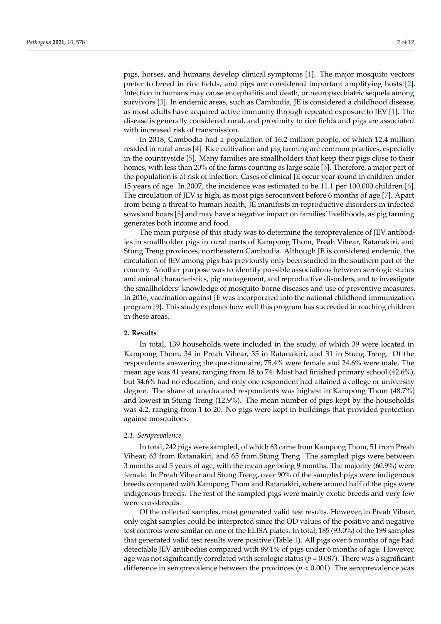pigs, horses, and humans develop clinical symptoms [\[1\]](#page-10-0). The major mosquito vectors prefer to breed in rice fields, and pigs are considered important amplifying hosts [\[2\]](#page-10-1). Infection in humans may cause encephalitis and death, or neuropsychiatric sequela among survivors [\[3\]](#page-10-2). In endemic areas, such as Cambodia, JE is considered a childhood disease, as most adults have acquired active immunity through repeated exposure to JEV [\[1\]](#page-10-0). The disease is generally considered rural, and proximity to rice fields and pigs are associated with increased risk of transmission.

In 2018, Cambodia had a population of 16.2 million people, of which 12.4 million resided in rural areas [\[4\]](#page-10-3). Rice cultivation and pig farming are common practices, especially in the countryside [\[5\]](#page-10-4). Many families are smallholders that keep their pigs close to their homes, with less than 20% of the farms counting as large scale [\[5\]](#page-10-4). Therefore, a major part of the population is at risk of infection. Cases of clinical JE occur year-round in children under 15 years of age. In 2007, the incidence was estimated to be 11.1 per 100,000 children [\[6\]](#page-10-5). The circulation of JEV is high, as most pigs seroconvert before 6 months of age [\[7\]](#page-10-6). Apart from being a threat to human health, JE manifests in reproductive disorders in infected sows and boars [\[8\]](#page-10-7) and may have a negative impact on families' livelihoods, as pig farming generates both income and food.

The main purpose of this study was to determine the seroprevalence of JEV antibodies in smallholder pigs in rural parts of Kampong Thom, Preah Vihear, Ratanakiri, and Stung Treng provinces, northeastern Cambodia. Although JE is considered endemic, the circulation of JEV among pigs has previously only been studied in the southern part of the country. Another purpose was to identify possible associations between serologic status and animal characteristics, pig management, and reproductive disorders, and to investigate the smallholders' knowledge of mosquito-borne diseases and use of preventive measures. In 2016, vaccination against JE was incorporated into the national childhood immunization program [\[9\]](#page-10-8). This study explores how well this program has succeeded in reaching children in these areas.

# **2. Results**

In total, 139 households were included in the study, of which 39 were located in Kampong Thom, 34 in Preah Vihear, 35 in Ratanakiri, and 31 in Stung Treng. Of the respondents answering the questionnaire, 75.4% were female and 24.6% were male. The mean age was 41 years, ranging from 18 to 74. Most had finished primary school (42.6%), but 34.6% had no education, and only one respondent had attained a college or university degree. The share of uneducated respondents was highest in Kampong Thom (48.7%) and lowest in Stung Treng (12.9%). The mean number of pigs kept by the households was 4.2, ranging from 1 to 20. No pigs were kept in buildings that provided protection against mosquitoes.

#### *2.1. Seroprevalence*

In total, 242 pigs were sampled, of which 63 came from Kampong Thom, 51 from Preah Vihear, 63 from Ratanakiri, and 65 from Stung Treng. The sampled pigs were between 3 months and 5 years of age, with the mean age being 9 months. The majority (60.9%) were female. In Preah Vihear and Stung Treng, over 90% of the sampled pigs were indigenous breeds compared with Kampong Thom and Ratanakiri, where around half of the pigs were indigenous breeds. The rest of the sampled pigs were mainly exotic breeds and very few were crossbreeds.

Of the collected samples, most generated valid test results. However, in Preah Vihear, only eight samples could be interpreted since the OD values of the positive and negative test controls were similar on one of the ELISA plates. In total, 185 (93.0%) of the 199 samples that generated valid test results were positive (Table [1\)](#page-2-0). All pigs over 6 months of age had detectable JEV antibodies compared with 89.1% of pigs under 6 months of age. However, age was not significantly correlated with serologic status ( $p = 0.087$ ). There was a significant difference in seroprevalence between the provinces ( $p < 0.001$ ). The seroprevalence was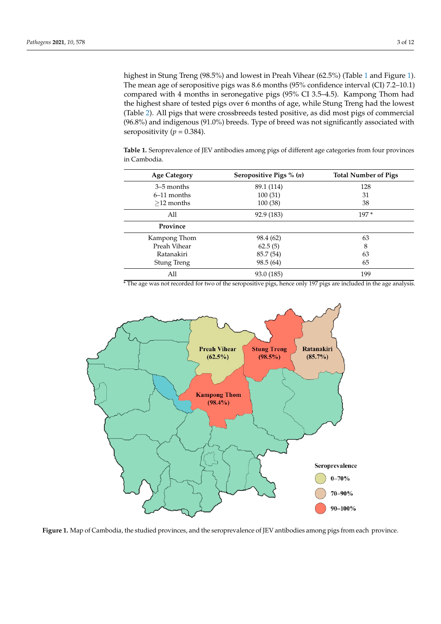highest in Stung Treng (98.5%) and lowest in Preah Vihear (62.5%) (Table [1](#page-2-0) and Figure [1\)](#page-2-1). The mean age of seropositive pigs was 8.6 months (95% confidence interval (CI) 7.2–10.1) compared with 4 months in seronegative pigs (95% CI 3.5–4.5). Kampong Thom had the highest share of tested pigs over 6 months of age, while Stung Treng had the lowest (Table [2\)](#page-3-0). All pigs that were crossbreeds tested positive, as did most pigs of commercial (96.8%) and indigenous (91.0%) breeds. Type of breed was not significantly associated with seropositivity  $(p = 0.384)$ .

**Table 1.** Seroprevalence of JEV antibodies among pigs of different age categories from four provinces in Cambodia.

<span id="page-2-0"></span>

| <b>Age Category</b> | Seropositive Pigs $\%$ ( <i>n</i> ) | <b>Total Number of Pigs</b> |  |
|---------------------|-------------------------------------|-----------------------------|--|
| 3–5 months          | 89.1 (114)                          | 128                         |  |
| $6-11$ months       | 100(31)                             | 31                          |  |
| $>12$ months        | 100 (38)                            | 38                          |  |
| All                 | 92.9 (183)                          | $197*$                      |  |
| Province            |                                     |                             |  |
| Kampong Thom        | 98.4 (62)                           | 63                          |  |
| Preah Vihear        | 62.5(5)                             | 8                           |  |
| Ratanakiri          | 85.7 (54)                           | 63                          |  |
| Stung Treng         | 98.5 (64)                           | 65                          |  |
| All                 | 93.0 (185)                          | 199                         |  |

<sup>\*</sup> The age was not recorded for two of the seropositive pigs, hence only 197 pigs are included in the age analysis.

<span id="page-2-1"></span>

**Figure 1.** Map of Cambodia, the studied provinces, and the seroprevalence of JEV antibodies among pigs from each province.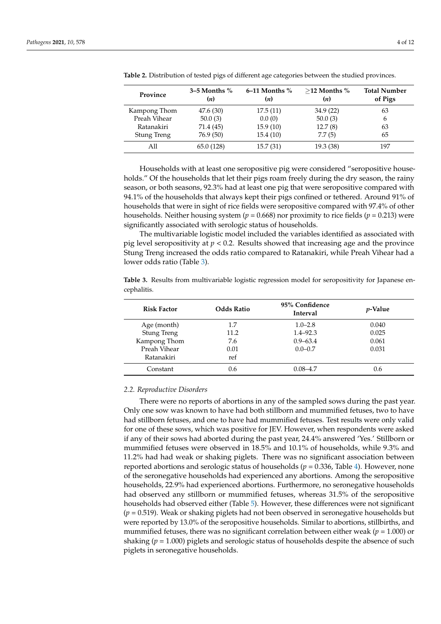| Province           | $3-5$ Months %<br>( <i>n</i> ) | $6-11$ Months %<br>(n) | $>$ 12 Months %<br>(n) | <b>Total Number</b><br>of Pigs |
|--------------------|--------------------------------|------------------------|------------------------|--------------------------------|
| Kampong Thom       | 47.6(30)                       | 17.5(11)               | 34.9(22)               | 63                             |
| Preah Vihear       | 50.0(3)                        | 0.0(0)                 | 50.0(3)                | 6                              |
| Ratanakiri         | 71.4 (45)                      | 15.9(10)               | 12.7(8)                | 63                             |
| <b>Stung Treng</b> | 76.9 (50)                      | 15.4(10)               | 7.7(5)                 | 65                             |
| All                | 65.0 (128)                     | 15.7(31)               | 19.3(38)               | 197                            |

<span id="page-3-0"></span>**Table 2.** Distribution of tested pigs of different age categories between the studied provinces.

Households with at least one seropositive pig were considered "seropositive households." Of the households that let their pigs roam freely during the dry season, the rainy season, or both seasons, 92.3% had at least one pig that were seropositive compared with 94.1% of the households that always kept their pigs confined or tethered. Around 91% of households that were in sight of rice fields were seropositive compared with 97.4% of other households. Neither housing system (*p* = 0.668) nor proximity to rice fields (*p* = 0.213) were significantly associated with serologic status of households.

The multivariable logistic model included the variables identified as associated with pig level seropositivity at  $p < 0.2$ . Results showed that increasing age and the province Stung Treng increased the odds ratio compared to Ratanakiri, while Preah Vihear had a lower odds ratio (Table [3\)](#page-3-1).

<span id="page-3-1"></span>Table 3. Results from multivariable logistic regression model for seropositivity for Japanese encephalitis.

| <b>Risk Factor</b> | <b>Odds Ratio</b> | 95% Confidence<br><b>Interval</b> | <i>v</i> -Value |
|--------------------|-------------------|-----------------------------------|-----------------|
| Age (month)        | 1.7               | $1.0 - 2.8$                       | 0.040           |
| <b>Stung Treng</b> | 11.2              | $1.4 - 92.3$                      | 0.025           |
| Kampong Thom       | 7.6               | $0.9 - 63.4$                      | 0.061           |
| Preah Vihear       | 0.01              | $0.0 - 0.7$                       | 0.031           |
| Ratanakiri         | ref               |                                   |                 |
| Constant           | 0.6               | $0.08 - 4.7$                      | 0.6             |

#### *2.2. Reproductive Disorders*

There were no reports of abortions in any of the sampled sows during the past year. Only one sow was known to have had both stillborn and mummified fetuses, two to have had stillborn fetuses, and one to have had mummified fetuses. Test results were only valid for one of these sows, which was positive for JEV. However, when respondents were asked if any of their sows had aborted during the past year, 24.4% answered 'Yes.' Stillborn or mummified fetuses were observed in 18.5% and 10.1% of households, while 9.3% and 11.2% had had weak or shaking piglets. There was no significant association between reported abortions and serologic status of households ( $p = 0.336$ , Table [4\)](#page-4-0). However, none of the seronegative households had experienced any abortions. Among the seropositive households, 22.9% had experienced abortions. Furthermore, no seronegative households had observed any stillborn or mummified fetuses, whereas 31.5% of the seropositive households had observed either (Table [5\)](#page-4-1). However, these differences were not significant (*p* = 0.519). Weak or shaking piglets had not been observed in seronegative households but were reported by 13.0% of the seropositive households. Similar to abortions, stillbirths, and mummified fetuses, there was no significant correlation between either weak ( $p = 1.000$ ) or shaking ( $p = 1.000$ ) piglets and serologic status of households despite the absence of such piglets in seronegative households.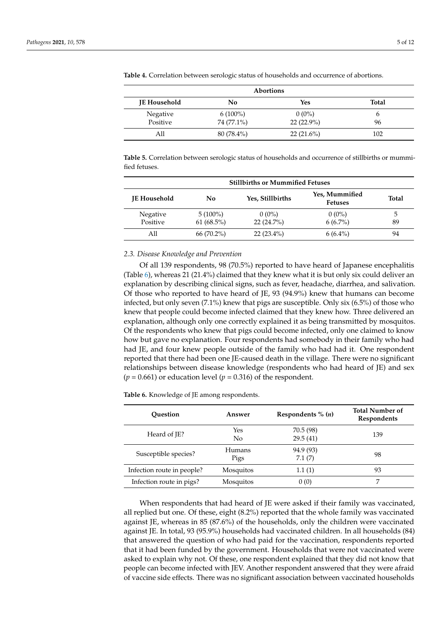| <b>Abortions</b>    |            |              |              |  |
|---------------------|------------|--------------|--------------|--|
| <b>JE Household</b> | No         | Yes          | <b>Total</b> |  |
| Negative            | $6(100\%)$ | $0(0\%)$     |              |  |
| Positive            | 74 (77.1%) | $22(22.9\%)$ | 96           |  |
| All                 | 80 (78.4%) | $22(21.6\%)$ | 102          |  |

<span id="page-4-0"></span>**Table 4.** Correlation between serologic status of households and occurrence of abortions.

<span id="page-4-1"></span>**Table 5.** Correlation between serologic status of households and occurrence of stillbirths or mummified fetuses.

| <b>Stillbirths or Mummified Fetuses</b> |                            |                          |                                  |         |
|-----------------------------------------|----------------------------|--------------------------|----------------------------------|---------|
| <b>IE</b> Household                     | No                         | Yes, Stillbirths         | Yes, Mummified<br><b>Fetuses</b> | Total   |
| <b>Negative</b><br>Positive             | $5(100\%)$<br>$61(68.5\%)$ | $0(0\%)$<br>$22(24.7\%)$ | $0(0\%)$<br>$6(6.7\%)$           | 5<br>89 |
| All                                     | 66 (70.2%)                 | $22(23.4\%)$             | $6(6.4\%)$                       | 94      |

#### *2.3. Disease Knowledge and Prevention*

Of all 139 respondents, 98 (70.5%) reported to have heard of Japanese encephalitis (Table [6\)](#page-4-2), whereas 21 (21.4%) claimed that they knew what it is but only six could deliver an explanation by describing clinical signs, such as fever, headache, diarrhea, and salivation. Of those who reported to have heard of JE, 93 (94.9%) knew that humans can become infected, but only seven (7.1%) knew that pigs are susceptible. Only six (6.5%) of those who knew that people could become infected claimed that they knew how. Three delivered an explanation, although only one correctly explained it as being transmitted by mosquitos. Of the respondents who knew that pigs could become infected, only one claimed to know how but gave no explanation. Four respondents had somebody in their family who had had JE, and four knew people outside of the family who had had it. One respondent reported that there had been one JE-caused death in the village. There were no significant relationships between disease knowledge (respondents who had heard of JE) and sex  $(p = 0.661)$  or education level  $(p = 0.316)$  of the respondent.

<span id="page-4-2"></span>**Table 6.** Knowledge of JE among respondents.

| <b>Ouestion</b>            | Answer                | Respondents $\%$ ( <i>n</i> ) | <b>Total Number of</b><br>Respondents |
|----------------------------|-----------------------|-------------------------------|---------------------------------------|
| Heard of JE?               | Yes<br>$\rm No$       | 70.5 (98)<br>29.5(41)         | 139                                   |
| Susceptible species?       | <b>Humans</b><br>Pigs | 94.9 (93)<br>7.1(7)           | 98                                    |
| Infection route in people? | Mosquitos             | 1.1(1)                        | 93                                    |
| Infection route in pigs?   | Mosquitos             | 0(0)                          |                                       |

When respondents that had heard of JE were asked if their family was vaccinated, all replied but one. Of these, eight (8.2%) reported that the whole family was vaccinated against JE, whereas in 85 (87.6%) of the households, only the children were vaccinated against JE. In total, 93 (95.9%) households had vaccinated children. In all households (84) that answered the question of who had paid for the vaccination, respondents reported that it had been funded by the government. Households that were not vaccinated were asked to explain why not. Of these, one respondent explained that they did not know that people can become infected with JEV. Another respondent answered that they were afraid of vaccine side effects. There was no significant association between vaccinated households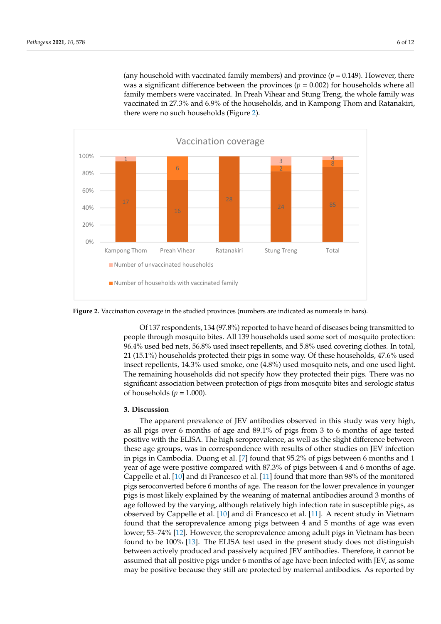(any household with vaccinated family members) and province  $(p = 0.149)$ . However, there was a significant difference between the provinces ( $p = 0.002$ ) for households where all family members were vaccinated. In Preah Vihear and Stung Treng, the whole family was vaccinated in 27.3% and 6.9% of the households, and in Kampong Thom and Ratanakiri, there were no such households (Figure [2\)](#page-5-0).

<span id="page-5-0"></span>

**Figure 2.** Vaccination coverage in the studied provinces (numbers are indicated as numerals in **Figure 2.** Vaccination coverage in the studied provinces (numbers are indicated as numerals in bars).

people through mosquito bites. All 139 households used some sort of mosquito protection: 96.4% used bed nets, 56.8% used insect repellents, and 5.8% used covering clothes. In total, 21 (15.1%) households protected their pigs in some way. Of these households, 47.6% used insect repellents, 14.3% used smoke, one (4.8%) used mosquito nets, and one used light. The remaining households did not specify how they protected their pigs. There was no significant association between protection of pigs from mosquito bites and serologic status of households ( $p = 1.000$ ). Of 137 respondents, 134 (97.8%) reported to have heard of diseases being transmitted to

#### logic status of households (*p* = 1.000). **3. Discussion**

as all pigs over 6 months of age and 89.1% of pigs from 3 to 6 months of age tested positive with the ELISA. The high seroprevalence, as well as the slight difference between these age groups, was in correspondence with results of other studies on JEV infection in pigs in Cambodia. Duong et al. [\[7\]](#page-10-6) found that 95.2% of pigs between 6 months and 1 year of age were positive compared with 87.3% of pigs between 4 and 6 months of age. Cappelle et al. [\[10\]](#page-10-9) and di Francesco et al. [\[11\]](#page-10-10) found that more than 98% of the monitored pigs seroconverted before 6 months of age. The reason for the lower prevalence in younger pigs is most likely explained by the weaning of maternal antibodies around 3 months of age followed by the varying, although relatively high infection rate in susceptible pigs, as observed by Cappelle et al. [\[10\]](#page-10-9) and di Francesco et al. [\[11\]](#page-10-10). A recent study in Vietnam found but Cappelle et al. [10] and discussed by Cappelle et al. [11]. A recent study in Vietnam Cappelle in Vietnam Cappelle in Vietnam Cappelle in Vietnam Cappelle in Vietnam Cappelle in Vietnam Cappelle in Vietnam Cappel lower; 53–74% [\[12\]](#page-10-11). However, the seroprevalence among adult pigs in Vietnam has been<br>found to be 100% [12]. The ELISA test weed in the gausent study does not distinguish between actively produced and passively acquired JEV antibodies. Therefore, it cannot be to be 100% assumed that all positive pigs under 6 months of age have been infected with JEV, as some beam infected with JEV, as some actively produced and produced and passively accuracy activities are for  $\mu_{\rm D}^{\rm C}$  and  $\mu_{\rm D}^{\rm C}$  and  $\mu_{\rm D}^{\rm C}$  and  $\mu_{\rm D}^{\rm C}$  and  $\mu_{\rm D}^{\rm C}$  and  $\mu_{\rm D}^{\rm C}$  are  $\mu_{\rm D}^{\rm C}$  and  $\mu_{\rm D}^{\rm C}$  may be positive because they still are protected by maternal antibodies. As reported by The apparent prevalence of JEV antibodies observed in this study was very high, found that the seroprevalence among pigs between 4 and 5 months of age was even found to be 100% [\[13\]](#page-10-12). The ELISA test used in the present study does not distinguish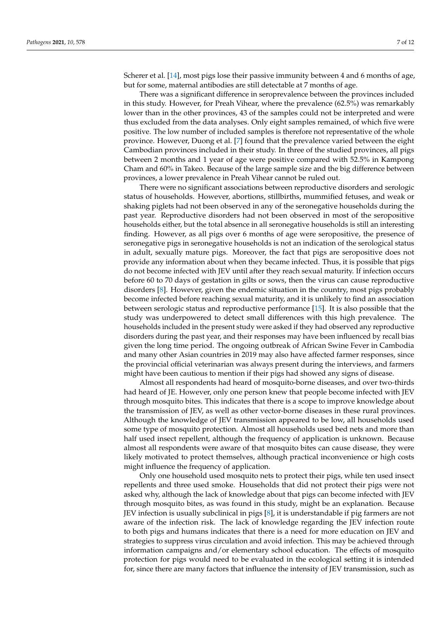Scherer et al. [\[14\]](#page-10-13), most pigs lose their passive immunity between 4 and 6 months of age, but for some, maternal antibodies are still detectable at 7 months of age.

There was a significant difference in seroprevalence between the provinces included in this study. However, for Preah Vihear, where the prevalence (62.5%) was remarkably lower than in the other provinces, 43 of the samples could not be interpreted and were thus excluded from the data analyses. Only eight samples remained, of which five were positive. The low number of included samples is therefore not representative of the whole province. However, Duong et al. [\[7\]](#page-10-6) found that the prevalence varied between the eight Cambodian provinces included in their study. In three of the studied provinces, all pigs between 2 months and 1 year of age were positive compared with 52.5% in Kampong Cham and 60% in Takeo. Because of the large sample size and the big difference between provinces, a lower prevalence in Preah Vihear cannot be ruled out.

There were no significant associations between reproductive disorders and serologic status of households. However, abortions, stillbirths, mummified fetuses, and weak or shaking piglets had not been observed in any of the seronegative households during the past year. Reproductive disorders had not been observed in most of the seropositive households either, but the total absence in all seronegative households is still an interesting finding. However, as all pigs over 6 months of age were seropositive, the presence of seronegative pigs in seronegative households is not an indication of the serological status in adult, sexually mature pigs. Moreover, the fact that pigs are seropositive does not provide any information about when they became infected. Thus, it is possible that pigs do not become infected with JEV until after they reach sexual maturity. If infection occurs before 60 to 70 days of gestation in gilts or sows, then the virus can cause reproductive disorders [\[8\]](#page-10-7). However, given the endemic situation in the country, most pigs probably become infected before reaching sexual maturity, and it is unlikely to find an association between serologic status and reproductive performance [\[15\]](#page-10-14). It is also possible that the study was underpowered to detect small differences with this high prevalence. The households included in the present study were asked if they had observed any reproductive disorders during the past year, and their responses may have been influenced by recall bias given the long time period. The ongoing outbreak of African Swine Fever in Cambodia and many other Asian countries in 2019 may also have affected farmer responses, since the provincial official veterinarian was always present during the interviews, and farmers might have been cautious to mention if their pigs had showed any signs of disease.

Almost all respondents had heard of mosquito-borne diseases, and over two-thirds had heard of JE. However, only one person knew that people become infected with JEV through mosquito bites. This indicates that there is a scope to improve knowledge about the transmission of JEV, as well as other vector-borne diseases in these rural provinces. Although the knowledge of JEV transmission appeared to be low, all households used some type of mosquito protection. Almost all households used bed nets and more than half used insect repellent, although the frequency of application is unknown. Because almost all respondents were aware of that mosquito bites can cause disease, they were likely motivated to protect themselves, although practical inconvenience or high costs might influence the frequency of application.

Only one household used mosquito nets to protect their pigs, while ten used insect repellents and three used smoke. Households that did not protect their pigs were not asked why, although the lack of knowledge about that pigs can become infected with JEV through mosquito bites, as was found in this study, might be an explanation. Because JEV infection is usually subclinical in pigs [\[8\]](#page-10-7), it is understandable if pig farmers are not aware of the infection risk. The lack of knowledge regarding the JEV infection route to both pigs and humans indicates that there is a need for more education on JEV and strategies to suppress virus circulation and avoid infection. This may be achieved through information campaigns and/or elementary school education. The effects of mosquito protection for pigs would need to be evaluated in the ecological setting it is intended for, since there are many factors that influence the intensity of JEV transmission, such as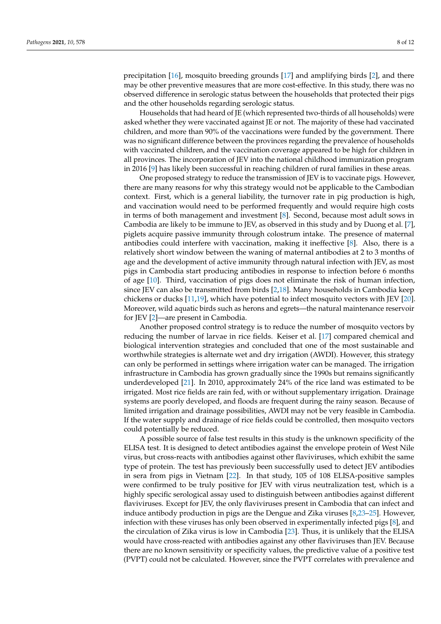precipitation [\[16\]](#page-10-15), mosquito breeding grounds [\[17\]](#page-10-16) and amplifying birds [\[2\]](#page-10-1), and there may be other preventive measures that are more cost-effective. In this study, there was no observed difference in serologic status between the households that protected their pigs and the other households regarding serologic status.

Households that had heard of JE (which represented two-thirds of all households) were asked whether they were vaccinated against JE or not. The majority of these had vaccinated children, and more than 90% of the vaccinations were funded by the government. There was no significant difference between the provinces regarding the prevalence of households with vaccinated children, and the vaccination coverage appeared to be high for children in all provinces. The incorporation of JEV into the national childhood immunization program in 2016 [\[9\]](#page-10-8) has likely been successful in reaching children of rural families in these areas.

One proposed strategy to reduce the transmission of JEV is to vaccinate pigs. However, there are many reasons for why this strategy would not be applicable to the Cambodian context. First, which is a general liability, the turnover rate in pig production is high, and vaccination would need to be performed frequently and would require high costs in terms of both management and investment [\[8\]](#page-10-7). Second, because most adult sows in Cambodia are likely to be immune to JEV, as observed in this study and by Duong et al. [\[7\]](#page-10-6), piglets acquire passive immunity through colostrum intake. The presence of maternal antibodies could interfere with vaccination, making it ineffective [\[8\]](#page-10-7). Also, there is a relatively short window between the waning of maternal antibodies at 2 to 3 months of age and the development of active immunity through natural infection with JEV, as most pigs in Cambodia start producing antibodies in response to infection before 6 months of age [\[10\]](#page-10-9). Third, vaccination of pigs does not eliminate the risk of human infection, since JEV can also be transmitted from birds [\[2](#page-10-1)[,18\]](#page-10-17). Many households in Cambodia keep chickens or ducks [\[11,](#page-10-10)[19\]](#page-10-18), which have potential to infect mosquito vectors with JEV [\[20\]](#page-10-19). Moreover, wild aquatic birds such as herons and egrets—the natural maintenance reservoir for JEV [\[2\]](#page-10-1)—are present in Cambodia.

Another proposed control strategy is to reduce the number of mosquito vectors by reducing the number of larvae in rice fields. Keiser et al. [\[17\]](#page-10-16) compared chemical and biological intervention strategies and concluded that one of the most sustainable and worthwhile strategies is alternate wet and dry irrigation (AWDI). However, this strategy can only be performed in settings where irrigation water can be managed. The irrigation infrastructure in Cambodia has grown gradually since the 1990s but remains significantly underdeveloped [\[21\]](#page-10-20). In 2010, approximately 24% of the rice land was estimated to be irrigated. Most rice fields are rain fed, with or without supplementary irrigation. Drainage systems are poorly developed, and floods are frequent during the rainy season. Because of limited irrigation and drainage possibilities, AWDI may not be very feasible in Cambodia. If the water supply and drainage of rice fields could be controlled, then mosquito vectors could potentially be reduced.

A possible source of false test results in this study is the unknown specificity of the ELISA test. It is designed to detect antibodies against the envelope protein of West Nile virus, but cross-reacts with antibodies against other flaviviruses, which exhibit the same type of protein. The test has previously been successfully used to detect JEV antibodies in sera from pigs in Vietnam [\[22\]](#page-10-21). In that study, 105 of 108 ELISA-positive samples were confirmed to be truly positive for JEV with virus neutralization test, which is a highly specific serological assay used to distinguish between antibodies against different flaviviruses. Except for JEV, the only flaviviruses present in Cambodia that can infect and induce antibody production in pigs are the Dengue and Zika viruses [\[8](#page-10-7)[,23](#page-11-0)[–25\]](#page-11-1). However, infection with these viruses has only been observed in experimentally infected pigs [\[8\]](#page-10-7), and the circulation of Zika virus is low in Cambodia [\[23\]](#page-11-0). Thus, it is unlikely that the ELISA would have cross-reacted with antibodies against any other flaviviruses than JEV. Because there are no known sensitivity or specificity values, the predictive value of a positive test (PVPT) could not be calculated. However, since the PVPT correlates with prevalence and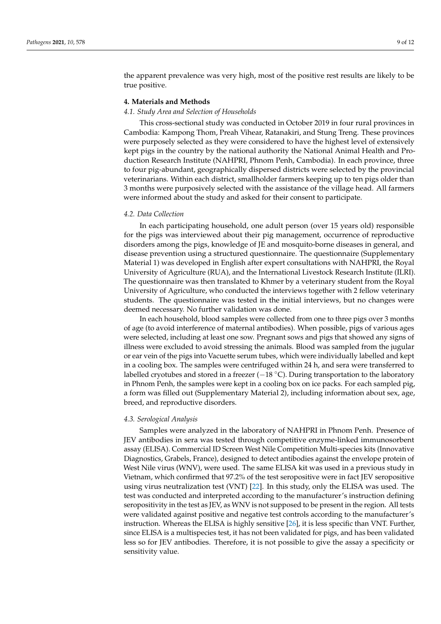the apparent prevalence was very high, most of the positive rest results are likely to be true positive.

# **4. Materials and Methods**

#### *4.1. Study Area and Selection of Households*

This cross-sectional study was conducted in October 2019 in four rural provinces in Cambodia: Kampong Thom, Preah Vihear, Ratanakiri, and Stung Treng. These provinces were purposely selected as they were considered to have the highest level of extensively kept pigs in the country by the national authority the National Animal Health and Production Research Institute (NAHPRI, Phnom Penh, Cambodia). In each province, three to four pig-abundant, geographically dispersed districts were selected by the provincial veterinarians. Within each district, smallholder farmers keeping up to ten pigs older than 3 months were purposively selected with the assistance of the village head. All farmers were informed about the study and asked for their consent to participate.

# *4.2. Data Collection*

In each participating household, one adult person (over 15 years old) responsible for the pigs was interviewed about their pig management, occurrence of reproductive disorders among the pigs, knowledge of JE and mosquito-borne diseases in general, and disease prevention using a structured questionnaire. The questionnaire (Supplementary Material 1) was developed in English after expert consultations with NAHPRI, the Royal University of Agriculture (RUA), and the International Livestock Research Institute (ILRI). The questionnaire was then translated to Khmer by a veterinary student from the Royal University of Agriculture, who conducted the interviews together with 2 fellow veterinary students. The questionnaire was tested in the initial interviews, but no changes were deemed necessary. No further validation was done.

In each household, blood samples were collected from one to three pigs over 3 months of age (to avoid interference of maternal antibodies). When possible, pigs of various ages were selected, including at least one sow. Pregnant sows and pigs that showed any signs of illness were excluded to avoid stressing the animals. Blood was sampled from the jugular or ear vein of the pigs into Vacuette serum tubes, which were individually labelled and kept in a cooling box. The samples were centrifuged within 24 h, and sera were transferred to labelled cryotubes and stored in a freezer ( $-18$  °C). During transportation to the laboratory in Phnom Penh, the samples were kept in a cooling box on ice packs. For each sampled pig, a form was filled out (Supplementary Material 2), including information about sex, age, breed, and reproductive disorders.

#### *4.3. Serological Analysis*

Samples were analyzed in the laboratory of NAHPRI in Phnom Penh. Presence of JEV antibodies in sera was tested through competitive enzyme-linked immunosorbent assay (ELISA). Commercial ID Screen West Nile Competition Multi-species kits (Innovative Diagnostics, Grabels, France), designed to detect antibodies against the envelope protein of West Nile virus (WNV), were used. The same ELISA kit was used in a previous study in Vietnam, which confirmed that 97.2% of the test seropositive were in fact JEV seropositive using virus neutralization test (VNT) [\[22\]](#page-10-21). In this study, only the ELISA was used. The test was conducted and interpreted according to the manufacturer's instruction defining seropositivity in the test as JEV, as WNV is not supposed to be present in the region. All tests were validated against positive and negative test controls according to the manufacturer's instruction. Whereas the ELISA is highly sensitive [\[26\]](#page-11-2), it is less specific than VNT. Further, since ELISA is a multispecies test, it has not been validated for pigs, and has been validated less so for JEV antibodies. Therefore, it is not possible to give the assay a specificity or sensitivity value.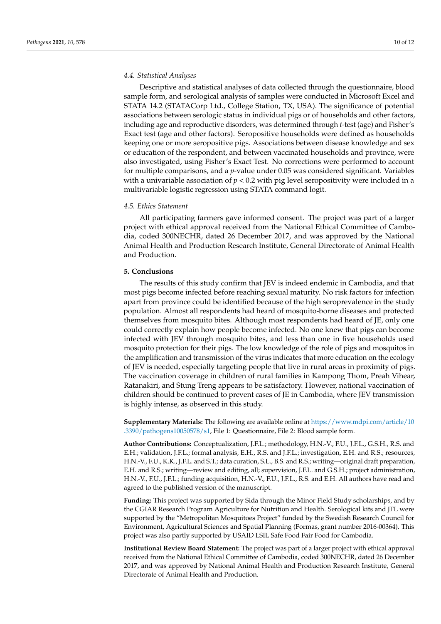# *4.4. Statistical Analyses*

Descriptive and statistical analyses of data collected through the questionnaire, blood sample form, and serological analysis of samples were conducted in Microsoft Excel and STATA 14.2 (STATACorp Ltd., College Station, TX, USA). The significance of potential associations between serologic status in individual pigs or of households and other factors, including age and reproductive disorders, was determined through *t*-test (age) and Fisher's Exact test (age and other factors). Seropositive households were defined as households keeping one or more seropositive pigs. Associations between disease knowledge and sex or education of the respondent, and between vaccinated households and province, were also investigated, using Fisher's Exact Test. No corrections were performed to account for multiple comparisons, and a *p*-value under 0.05 was considered significant. Variables with a univariable association of *p* < 0.2 with pig level seropositivity were included in a multivariable logistic regression using STATA command logit.

# *4.5. Ethics Statement*

All participating farmers gave informed consent. The project was part of a larger project with ethical approval received from the National Ethical Committee of Cambodia, coded 300NECHR, dated 26 December 2017, and was approved by the National Animal Health and Production Research Institute, General Directorate of Animal Health and Production.

#### **5. Conclusions**

The results of this study confirm that JEV is indeed endemic in Cambodia, and that most pigs become infected before reaching sexual maturity. No risk factors for infection apart from province could be identified because of the high seroprevalence in the study population. Almost all respondents had heard of mosquito-borne diseases and protected themselves from mosquito bites. Although most respondents had heard of JE, only one could correctly explain how people become infected. No one knew that pigs can become infected with JEV through mosquito bites, and less than one in five households used mosquito protection for their pigs. The low knowledge of the role of pigs and mosquitos in the amplification and transmission of the virus indicates that more education on the ecology of JEV is needed, especially targeting people that live in rural areas in proximity of pigs. The vaccination coverage in children of rural families in Kampong Thom, Preah Vihear, Ratanakiri, and Stung Treng appears to be satisfactory. However, national vaccination of children should be continued to prevent cases of JE in Cambodia, where JEV transmission is highly intense, as observed in this study.

**Supplementary Materials:** The following are available online at [https://www.mdpi.com/article/10](https://www.mdpi.com/article/10.3390/pathogens10050578/s1) [.3390/pathogens10050578/s1,](https://www.mdpi.com/article/10.3390/pathogens10050578/s1) File 1: Questionnaire, File 2: Blood sample form.

**Author Contributions:** Conceptualization, J.F.L.; methodology, H.N.-V., F.U., J.F.L., G.S.H., R.S. and E.H.; validation, J.F.L.; formal analysis, E.H., R.S. and J.F.L.; investigation, E.H. and R.S.; resources, H.N.-V., F.U., K.K., J.F.L. and S.T.; data curation, S.L., B.S. and R.S.; writing—original draft preparation, E.H. and R.S.; writing—review and editing, all; supervision, J.F.L. and G.S.H.; project administration, H.N.-V., F.U., J.F.L.; funding acquisition, H.N.-V., F.U., J.F.L., R.S. and E.H. All authors have read and agreed to the published version of the manuscript.

**Funding:** This project was supported by Sida through the Minor Field Study scholarships, and by the CGIAR Research Program Agriculture for Nutrition and Health. Serological kits and JFL were supported by the "Metropolitan Mosquitoes Project" funded by the Swedish Research Council for Environment, Agricultural Sciences and Spatial Planning (Formas, grant number 2016-00364). This project was also partly supported by USAID LSIL Safe Food Fair Food for Cambodia.

**Institutional Review Board Statement:** The project was part of a larger project with ethical approval received from the National Ethical Committee of Cambodia, coded 300NECHR, dated 26 December 2017, and was approved by National Animal Health and Production Research Institute, General Directorate of Animal Health and Production.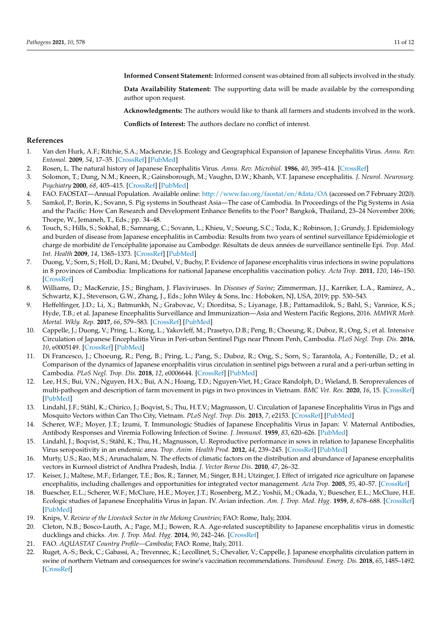**Informed Consent Statement:** Informed consent was obtained from all subjects involved in the study.

**Data Availability Statement:** The supporting data will be made available by the corresponding author upon request.

**Acknowledgments:** The authors would like to thank all farmers and students involved in the work.

**Conflicts of Interest:** The authors declare no conflict of interest.

# **References**

- <span id="page-10-0"></span>1. Van den Hurk, A.F.; Ritchie, S.A.; Mackenzie, J.S. Ecology and Geographical Expansion of Japanese Encephalitis Virus. *Annu. Rev. Entomol.* **2009**, *54*, 17–35. [\[CrossRef\]](http://doi.org/10.1146/annurev.ento.54.110807.090510) [\[PubMed\]](http://www.ncbi.nlm.nih.gov/pubmed/19067628)
- <span id="page-10-1"></span>2. Rosen, L. The natural history of Japanese Encephalitis Virus. *Annu. Rev. Microbiol.* **1986**, *40*, 395–414. [\[CrossRef\]](http://doi.org/10.1146/annurev.mi.40.100186.002143)
- <span id="page-10-2"></span>3. Solomon, T.; Dung, N.M.; Kneen, R.; Gainsborough, M.; Vaughn, D.W.; Khanh, V.T. Japanese encephalitis. *J. Neurol. Neurosurg. Psychiatry* **2000**, *68*, 405–415. [\[CrossRef\]](http://doi.org/10.1136/jnnp.68.4.405) [\[PubMed\]](http://www.ncbi.nlm.nih.gov/pubmed/10727474)
- <span id="page-10-3"></span>4. FAO. FAOSTAT—Annual Population. Available online: <http://www.fao.org/faostat/en/#data/OA> (accessed on 7 February 2020).
- <span id="page-10-4"></span>5. Samkol, P.; Borin, K.; Sovann, S. Pig systems in Southeast Asia—The case of Cambodia. In Proceedings of the Pig Systems in Asia and the Pacific: How Can Research and Development Enhance Benefits to the Poor? Bangkok, Thailand, 23–24 November 2006; Thorpe, W., Jemaneh, T., Eds.; pp. 34–48.
- <span id="page-10-5"></span>6. Touch, S.; Hills, S.; Sokhal, B.; Samnang, C.; Sovann, L.; Khieu, V.; Soeung, S.C.; Toda, K.; Robinson, J.; Grundy, J. Epidemiology and burden of disease from Japanese encephalitis in Cambodia: Results from two years of sentinel surveillance Epidémiologie et charge de morbidité de l'encéphalite japonaise au Cambodge: Résultats de deux années de surveillance sentinelle Epi. *Trop. Med. Int. Health* **2009**, *14*, 1365–1373. [\[CrossRef\]](http://doi.org/10.1111/j.1365-3156.2009.02380.x) [\[PubMed\]](http://www.ncbi.nlm.nih.gov/pubmed/19747185)
- <span id="page-10-6"></span>7. Duong, V.; Sorn, S.; Holl, D.; Rani, M.; Deubel, V.; Buchy, P. Evidence of Japanese encephalitis virus infections in swine populations in 8 provinces of Cambodia: Implications for national Japanese encephalitis vaccination policy. *Acta Trop.* **2011**, *120*, 146–150. [\[CrossRef\]](http://doi.org/10.1016/j.actatropica.2011.07.008)
- <span id="page-10-7"></span>8. Williams, D.; MacKenzie, J.S.; Bingham, J. Flaviviruses. In *Diseases of Swine*; Zimmerman, J.J., Karriker, L.A., Ramirez, A., Schwartz, K.J., Stevenson, G.W., Zhang, J., Eds.; John Wiley & Sons, Inc.: Hoboken, NJ, USA, 2019; pp. 530–543.
- <span id="page-10-8"></span>9. Heffelfinger, J.D.; Li, X.; Batmunkh, N.; Grabovac, V.; Diorditsa, S.; Liyanage, J.B.; Pattamadilok, S.; Bahl, S.; Vannice, K.S.; Hyde, T.B.; et al. Japanese Encephalitis Surveillance and Immunization—Asia and Western Pacific Regions, 2016. *MMWR Morb. Mortal. Wkly. Rep.* **2017**, *66*, 579–583. [\[CrossRef\]](http://doi.org/10.15585/mmwr.mm6622a3) [\[PubMed\]](http://www.ncbi.nlm.nih.gov/pubmed/28594790)
- <span id="page-10-9"></span>10. Cappelle, J.; Duong, V.; Pring, L.; Kong, L.; Yakovleff, M.; Prasetyo, D.B.; Peng, B.; Choeung, R.; Duboz, R.; Ong, S.; et al. Intensive Circulation of Japanese Encephalitis Virus in Peri-urban Sentinel Pigs near Phnom Penh, Cambodia. *PLoS Negl. Trop. Dis.* **2016**, *10*, e0005149. [\[CrossRef\]](http://doi.org/10.1371/journal.pntd.0005149) [\[PubMed\]](http://www.ncbi.nlm.nih.gov/pubmed/27926937)
- <span id="page-10-10"></span>11. Di Francesco, J.; Choeung, R.; Peng, B.; Pring, L.; Pang, S.; Duboz, R.; Ong, S.; Sorn, S.; Tarantola, A.; Fontenille, D.; et al. Comparison of the dynamics of Japanese encephalitis virus circulation in sentinel pigs between a rural and a peri-urban setting in Cambodia. *PLoS Negl. Trop. Dis.* **2018**, *12*, e0006644. [\[CrossRef\]](http://doi.org/10.1371/journal.pntd.0006644) [\[PubMed\]](http://www.ncbi.nlm.nih.gov/pubmed/30138381)
- <span id="page-10-11"></span>12. Lee, H.S.; Bui, V.N.; Nguyen, H.X.; Bui, A.N.; Hoang, T.D.; Nguyen-Viet, H.; Grace Randolph, D.; Wieland, B. Seroprevalences of multi-pathogen and description of farm movement in pigs in two provinces in Vietnam. *BMC Vet. Res.* **2020**, *16*, 15. [\[CrossRef\]](http://doi.org/10.1186/s12917-020-2236-7) [\[PubMed\]](http://www.ncbi.nlm.nih.gov/pubmed/31937298)
- <span id="page-10-12"></span>13. Lindahl, J.F.; Ståhl, K.; Chirico, J.; Boqvist, S.; Thu, H.T.V.; Magnusson, U. Circulation of Japanese Encephalitis Virus in Pigs and Mosquito Vectors within Can Tho City, Vietnam. *PLoS Negl. Trop. Dis.* **2013**, *7*, e2153. [\[CrossRef\]](http://doi.org/10.1371/journal.pntd.0002153) [\[PubMed\]](http://www.ncbi.nlm.nih.gov/pubmed/23593520)
- <span id="page-10-13"></span>14. Scherer, W.F.; Moyer, J.T.; Izumi, T. Immunologic Studies of Japanese Encephalitis Virus in Japan: V. Maternal Antibodies, Antibody Responses and Viremia Following Infection of Swine. *J. Immunol.* **1959**, *83*, 620–626. [\[PubMed\]](http://www.ncbi.nlm.nih.gov/pubmed/14442657)
- <span id="page-10-14"></span>15. Lindahl, J.; Boqvist, S.; Ståhl, K.; Thu, H.; Magnusson, U. Reproductive performance in sows in relation to Japanese Encephalitis Virus seropositivity in an endemic area. *Trop. Anim. Health Prod.* **2012**, *44*, 239–245. [\[CrossRef\]](http://doi.org/10.1007/s11250-011-0005-0) [\[PubMed\]](http://www.ncbi.nlm.nih.gov/pubmed/22081319)
- <span id="page-10-15"></span>16. Murty, U.S.; Rao, M.S.; Arunachalam, N. The effects of climatic factors on the distribution and abundance of Japanese encephalitis vectors in Kurnool district of Andhra Pradesh, India. *J. Vector Borne Dis.* **2010**, *47*, 26–32.
- <span id="page-10-16"></span>17. Keiser, J.; Maltese, M.F.; Erlanger, T.E.; Bos, R.; Tanner, M.; Singer, B.H.; Utzinger, J. Effect of irrigated rice agriculture on Japanese encephalitis, including challenges and opportunities for integrated vector management. *Acta Trop.* **2005**, *95*, 40–57. [\[CrossRef\]](http://doi.org/10.1016/j.actatropica.2005.04.012)
- <span id="page-10-17"></span>18. Buescher, E.L.; Scherer, W.F.; McClure, H.E.; Moyer, J.T.; Rosenberg, M.Z.; Yoshii, M.; Okada, Y.; Buescher, E.L.; McClure, H.E. Ecologic studies of Japanese Encephalitis Virus in Japan. IV. Avian infection. *Am. J. Trop. Med. Hyg.* **1959**, *8*, 678–688. [\[CrossRef\]](http://doi.org/10.4269/ajtmh.1959.8.678) [\[PubMed\]](http://www.ncbi.nlm.nih.gov/pubmed/13805721)
- <span id="page-10-18"></span>19. Knips, V. *Review of the Livestock Sector in the Mekong Countries*; FAO: Rome, Italy, 2004.
- <span id="page-10-19"></span>20. Cleton, N.B.; Bosco-Lauth, A.; Page, M.J.; Bowen, R.A. Age-related susceptibility to Japanese encephalitis virus in domestic ducklings and chicks. *Am. J. Trop. Med. Hyg.* **2014**, *90*, 242–246. [\[CrossRef\]](http://doi.org/10.4269/ajtmh.13-0161)
- <span id="page-10-20"></span>21. FAO. *AQUASTAT Country Profile—Cambodia*; FAO: Rome, Italy, 2011.
- <span id="page-10-21"></span>22. Ruget, A.-S.; Beck, C.; Gabassi, A.; Trevennec, K.; Lecollinet, S.; Chevalier, V.; Cappelle, J. Japanese encephalitis circulation pattern in swine of northern Vietnam and consequences for swine's vaccination recommendations. *Transbound. Emerg. Dis.* **2018**, *65*, 1485–1492. [\[CrossRef\]](http://doi.org/10.1111/tbed.12885)